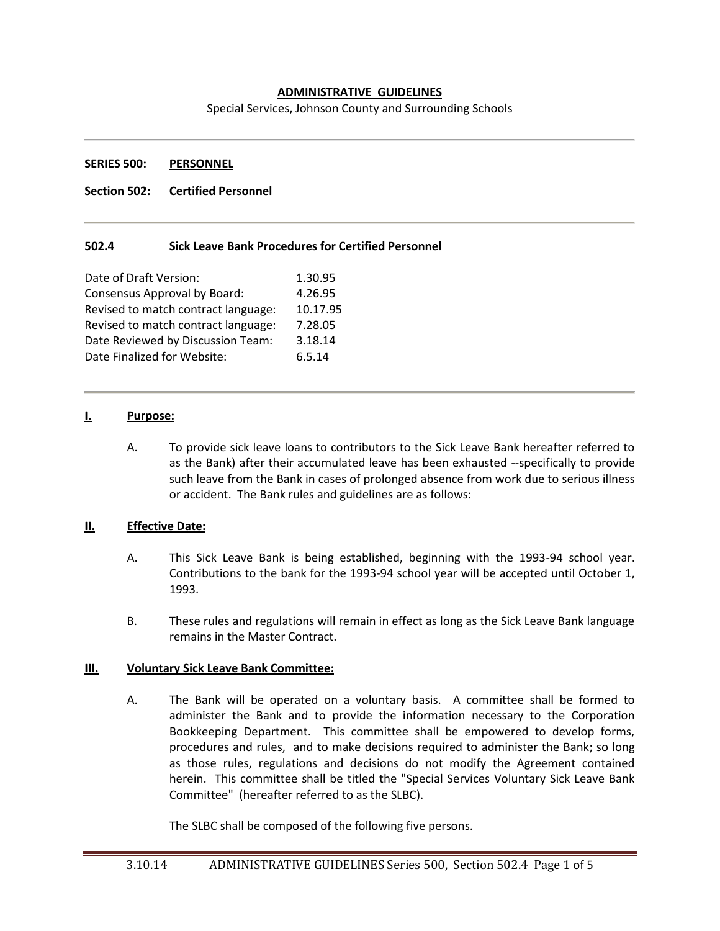### **ADMINISTRATIVE GUIDELINES**

Special Services, Johnson County and Surrounding Schools

#### **SERIES 500: PERSONNEL**

### **Section 502: Certified Personnel**

### **502.4 Sick Leave Bank Procedures for Certified Personnel**

| Date of Draft Version:              | 1.30.95  |
|-------------------------------------|----------|
| Consensus Approval by Board:        | 4.26.95  |
| Revised to match contract language: | 10.17.95 |
| Revised to match contract language: | 7.28.05  |
| Date Reviewed by Discussion Team:   | 3.18.14  |
| Date Finalized for Website:         | 6.5.14   |
|                                     |          |

#### **I. Purpose:**

A. To provide sick leave loans to contributors to the Sick Leave Bank hereafter referred to as the Bank) after their accumulated leave has been exhausted --specifically to provide such leave from the Bank in cases of prolonged absence from work due to serious illness or accident. The Bank rules and guidelines are as follows:

### **II. Effective Date:**

- A. This Sick Leave Bank is being established, beginning with the 1993-94 school year. Contributions to the bank for the 1993-94 school year will be accepted until October 1, 1993.
- B. These rules and regulations will remain in effect as long as the Sick Leave Bank language remains in the Master Contract.

### **III. Voluntary Sick Leave Bank Committee:**

A. The Bank will be operated on a voluntary basis. A committee shall be formed to administer the Bank and to provide the information necessary to the Corporation Bookkeeping Department. This committee shall be empowered to develop forms, procedures and rules, and to make decisions required to administer the Bank; so long as those rules, regulations and decisions do not modify the Agreement contained herein. This committee shall be titled the "Special Services Voluntary Sick Leave Bank Committee" (hereafter referred to as the SLBC).

The SLBC shall be composed of the following five persons.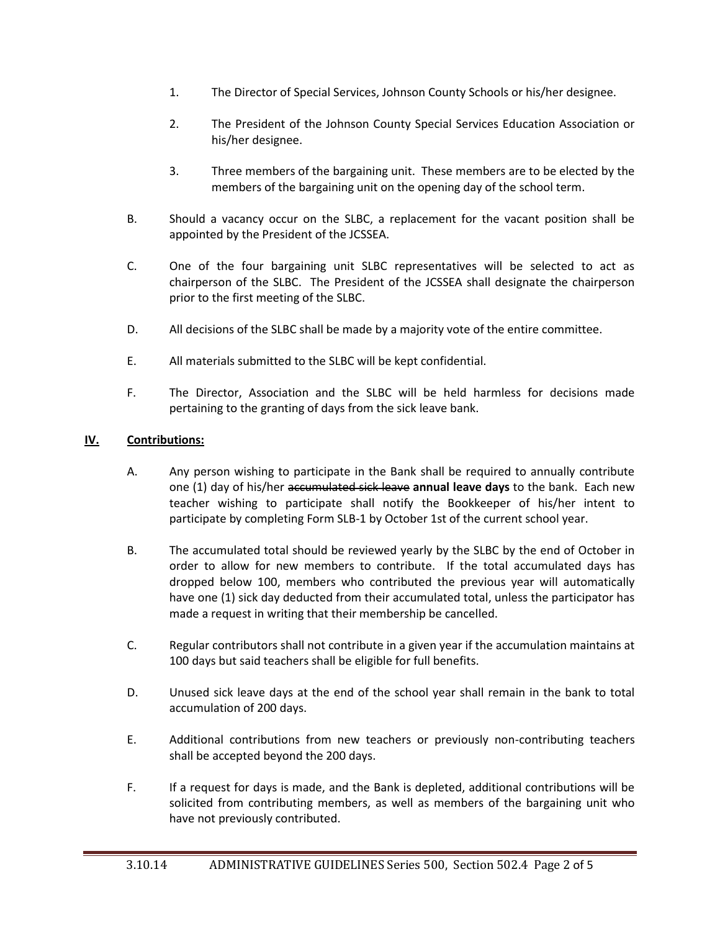- 1. The Director of Special Services, Johnson County Schools or his/her designee.
- 2. The President of the Johnson County Special Services Education Association or his/her designee.
- 3. Three members of the bargaining unit. These members are to be elected by the members of the bargaining unit on the opening day of the school term.
- B. Should a vacancy occur on the SLBC, a replacement for the vacant position shall be appointed by the President of the JCSSEA.
- C. One of the four bargaining unit SLBC representatives will be selected to act as chairperson of the SLBC. The President of the JCSSEA shall designate the chairperson prior to the first meeting of the SLBC.
- D. All decisions of the SLBC shall be made by a majority vote of the entire committee.
- E. All materials submitted to the SLBC will be kept confidential.
- F. The Director, Association and the SLBC will be held harmless for decisions made pertaining to the granting of days from the sick leave bank.

# **IV. Contributions:**

- A. Any person wishing to participate in the Bank shall be required to annually contribute one (1) day of his/her accumulated sick leave **annual leave days** to the bank. Each new teacher wishing to participate shall notify the Bookkeeper of his/her intent to participate by completing Form SLB-1 by October 1st of the current school year.
- B. The accumulated total should be reviewed yearly by the SLBC by the end of October in order to allow for new members to contribute. If the total accumulated days has dropped below 100, members who contributed the previous year will automatically have one (1) sick day deducted from their accumulated total, unless the participator has made a request in writing that their membership be cancelled.
- C. Regular contributors shall not contribute in a given year if the accumulation maintains at 100 days but said teachers shall be eligible for full benefits.
- D. Unused sick leave days at the end of the school year shall remain in the bank to total accumulation of 200 days.
- E. Additional contributions from new teachers or previously non-contributing teachers shall be accepted beyond the 200 days.
- F. If a request for days is made, and the Bank is depleted, additional contributions will be solicited from contributing members, as well as members of the bargaining unit who have not previously contributed.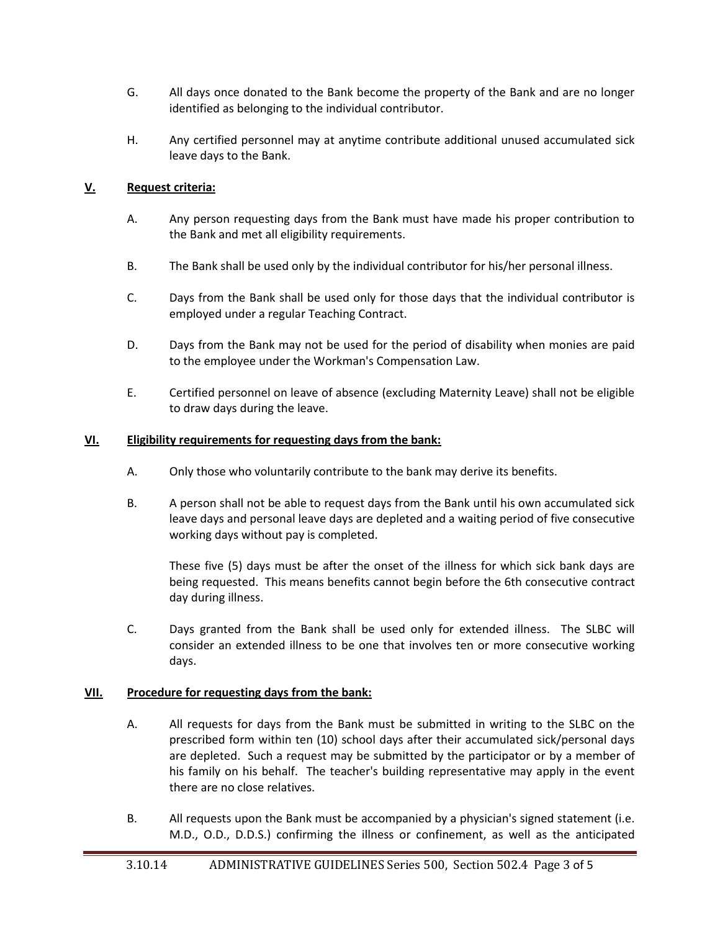- G. All days once donated to the Bank become the property of the Bank and are no longer identified as belonging to the individual contributor.
- H. Any certified personnel may at anytime contribute additional unused accumulated sick leave days to the Bank.

## **V. Request criteria:**

- A. Any person requesting days from the Bank must have made his proper contribution to the Bank and met all eligibility requirements.
- B. The Bank shall be used only by the individual contributor for his/her personal illness.
- C. Days from the Bank shall be used only for those days that the individual contributor is employed under a regular Teaching Contract.
- D. Days from the Bank may not be used for the period of disability when monies are paid to the employee under the Workman's Compensation Law.
- E. Certified personnel on leave of absence (excluding Maternity Leave) shall not be eligible to draw days during the leave.

## **VI. Eligibility requirements for requesting days from the bank:**

- A. Only those who voluntarily contribute to the bank may derive its benefits.
- B. A person shall not be able to request days from the Bank until his own accumulated sick leave days and personal leave days are depleted and a waiting period of five consecutive working days without pay is completed.

These five (5) days must be after the onset of the illness for which sick bank days are being requested. This means benefits cannot begin before the 6th consecutive contract day during illness.

C. Days granted from the Bank shall be used only for extended illness. The SLBC will consider an extended illness to be one that involves ten or more consecutive working days.

## **VII. Procedure for requesting days from the bank:**

- A. All requests for days from the Bank must be submitted in writing to the SLBC on the prescribed form within ten (10) school days after their accumulated sick/personal days are depleted. Such a request may be submitted by the participator or by a member of his family on his behalf. The teacher's building representative may apply in the event there are no close relatives.
- B. All requests upon the Bank must be accompanied by a physician's signed statement (i.e. M.D., O.D., D.D.S.) confirming the illness or confinement, as well as the anticipated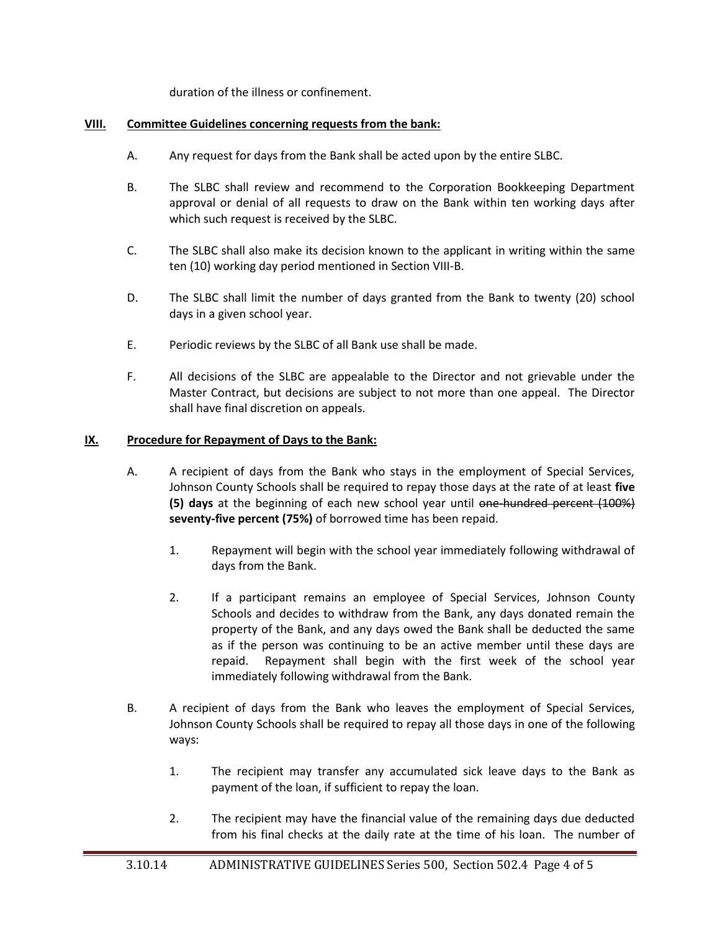duration of the illness or confinement.

## **VIII. Committee Guidelines concerning requests from the bank:**

- A. Any request for days from the Bank shall be acted upon by the entire SLBC.
- B. The SLBC shall review and recommend to the Corporation Bookkeeping Department approval or denial of all requests to draw on the Bank within ten working days after which such request is received by the SLBC.
- C. The SLBC shall also make its decision known to the applicant in writing within the same ten (10) working day period mentioned in Section VIII-B.
- D. The SLBC shall limit the number of days granted from the Bank to twenty (20) school days in a given school year.
- E. Periodic reviews by the SLBC of all Bank use shall be made.
- F. All decisions of the SLBC are appealable to the Director and not grievable under the Master Contract, but decisions are subject to not more than one appeal. The Director shall have final discretion on appeals.

# **IX. Procedure for Repayment of Days to the Bank:**

- A. A recipient of days from the Bank who stays in the employment of Special Services, Johnson County Schools shall be required to repay those days at the rate of at least **five (5) days** at the beginning of each new school year until one-hundred percent (100%) **seventy-five percent (75%)** of borrowed time has been repaid.
	- 1. Repayment will begin with the school year immediately following withdrawal of days from the Bank.
	- 2. If a participant remains an employee of Special Services, Johnson County Schools and decides to withdraw from the Bank, any days donated remain the property of the Bank, and any days owed the Bank shall be deducted the same as if the person was continuing to be an active member until these days are repaid. Repayment shall begin with the first week of the school year immediately following withdrawal from the Bank.
- B. A recipient of days from the Bank who leaves the employment of Special Services, Johnson County Schools shall be required to repay all those days in one of the following ways:
	- 1. The recipient may transfer any accumulated sick leave days to the Bank as payment of the loan, if sufficient to repay the loan.
	- 2. The recipient may have the financial value of the remaining days due deducted from his final checks at the daily rate at the time of his loan. The number of